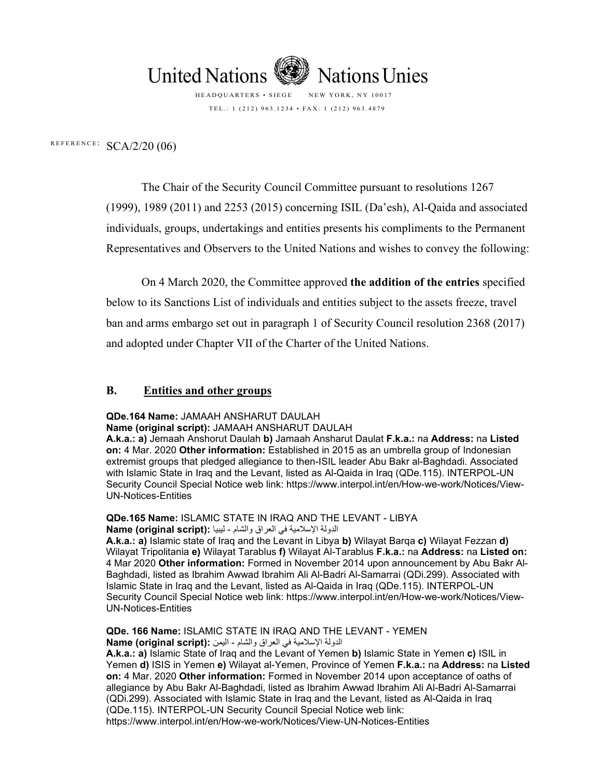

HEADQUARTERS • SIEGE NEW YORK, NY 10017 TEL .: 1 (212) 963.1234 • FAX: 1 (212) 963.4879

REFERENCE:  $SCA/2/20$  (06)

The Chair of the Security Council Committee pursuant to resolutions 1267 (1999), 1989 (2011) and 2253 (2015) concerning ISIL (Da'esh), Al-Qaida and associated individuals, groups, undertakings and entities presents his compliments to the Permanent Representatives and Observers to the United Nations and wishes to convey the following:

On 4 March 2020, the Committee approved **the addition of the entries** specified below to its Sanctions List of individuals and entities subject to the assets freeze, travel ban and arms embargo set out in paragraph 1 of Security Council resolution 2368 (2017) and adopted under Chapter VII of the Charter of the United Nations.

#### **B. Entities and other groups**

**QDe.164 Name:** JAMAAH ANSHARUT DAULAH

**Name (original script):** JAMAAH ANSHARUT DAULAH

**A.k.a.: a)** Jemaah Anshorut Daulah **b)** Jamaah Ansharut Daulat **F.k.a.:** na **Address:** na **Listed on:** 4 Mar. 2020 **Other information:** Established in 2015 as an umbrella group of Indonesian extremist groups that pledged allegiance to then-ISIL leader Abu Bakr al-Baghdadi. Associated with Islamic State in Iraq and the Levant, listed as Al-Qaida in Iraq (QDe.115). INTERPOL-UN Security Council Special Notice web link: https://www.interpol.int/en/How-we-work/Notices/View-UN-Notices-Entities

**QDe.165 Name:** ISLAMIC STATE IN IRAQ AND THE LEVANT - LIBYA الدولة الإسلامية في العراق والشام - ليبيا : **Name (original script)** 

**A.k.a.: a)** Islamic state of Iraq and the Levant in Libya **b)** Wilayat Barqa **c)** Wilayat Fezzan **d)** Wilayat Tripolitania **e)** Wilayat Tarablus **f)** Wilayat Al-Tarablus **F.k.a.:** na **Address:** na **Listed on:** 4 Mar 2020 **Other information:** Formed in November 2014 upon announcement by Abu Bakr Al-Baghdadi, listed as Ibrahim Awwad Ibrahim Ali Al-Badri Al-Samarrai (QDi.299). Associated with Islamic State in Iraq and the Levant, listed as Al-Qaida in Iraq (QDe.115). INTERPOL-UN Security Council Special Notice web link: https://www.interpol.int/en/How-we-work/Notices/View-UN-Notices-Entities

**QDe. 166 Name:** ISLAMIC STATE IN IRAQ AND THE LEVANT - YEMEN الدولة الإسلامية في العراق والشام - اليمن : **Name (original script)** 

**A.k.a.: a)** Islamic State of Iraq and the Levant of Yemen **b)** Islamic State in Yemen **c)** ISIL in Yemen **d)** ISIS in Yemen **e)** Wilayat al-Yemen, Province of Yemen **F.k.a.:** na **Address:** na **Listed on:** 4 Mar. 2020 **Other information:** Formed in November 2014 upon acceptance of oaths of allegiance by Abu Bakr Al-Baghdadi, listed as Ibrahim Awwad Ibrahim Ali Al-Badri Al-Samarrai (QDi.299). Associated with Islamic State in Iraq and the Levant, listed as Al-Qaida in Iraq (QDe.115). INTERPOL-UN Security Council Special Notice web link: https://www.interpol.int/en/How-we-work/Notices/View-UN-Notices-Entities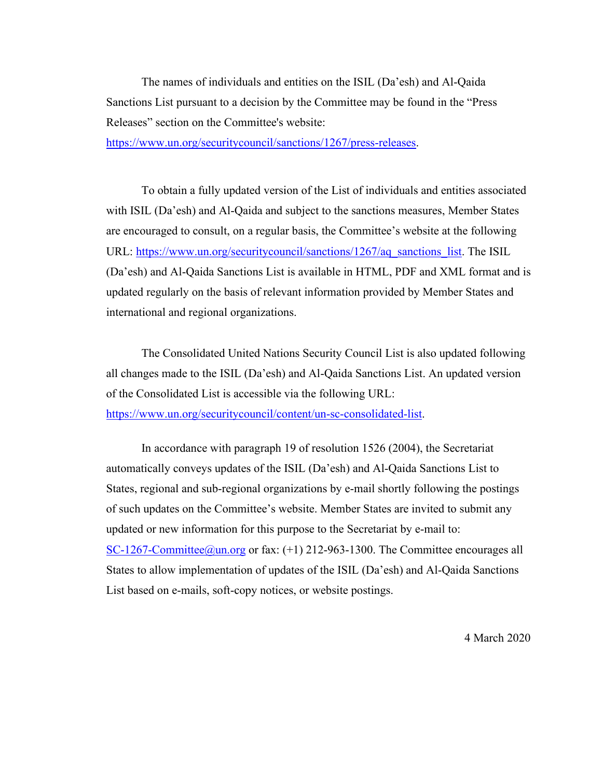The names of individuals and entities on the ISIL (Da'esh) and Al-Qaida Sanctions List pursuant to a decision by the Committee may be found in the "Press Releases" section on the Committee's website:

https://www.un.org/securitycouncil/sanctions/1267/press-releases.

 To obtain a fully updated version of the List of individuals and entities associated with ISIL (Da'esh) and Al-Qaida and subject to the sanctions measures, Member States are encouraged to consult, on a regular basis, the Committee's website at the following URL: https://www.un.org/securitycouncil/sanctions/1267/aq\_sanctions\_list. The ISIL (Da'esh) and Al-Qaida Sanctions List is available in HTML, PDF and XML format and is updated regularly on the basis of relevant information provided by Member States and international and regional organizations.

 The Consolidated United Nations Security Council List is also updated following all changes made to the ISIL (Da'esh) and Al-Qaida Sanctions List. An updated version of the Consolidated List is accessible via the following URL: https://www.un.org/securitycouncil/content/un-sc-consolidated-list.

 In accordance with paragraph 19 of resolution 1526 (2004), the Secretariat automatically conveys updates of the ISIL (Da'esh) and Al-Qaida Sanctions List to States, regional and sub-regional organizations by e-mail shortly following the postings of such updates on the Committee's website. Member States are invited to submit any updated or new information for this purpose to the Secretariat by e-mail to: SC-1267-Committee@un.org or fax: (+1) 212-963-1300. The Committee encourages all States to allow implementation of updates of the ISIL (Da'esh) and Al-Qaida Sanctions List based on e-mails, soft-copy notices, or website postings.

4 March 2020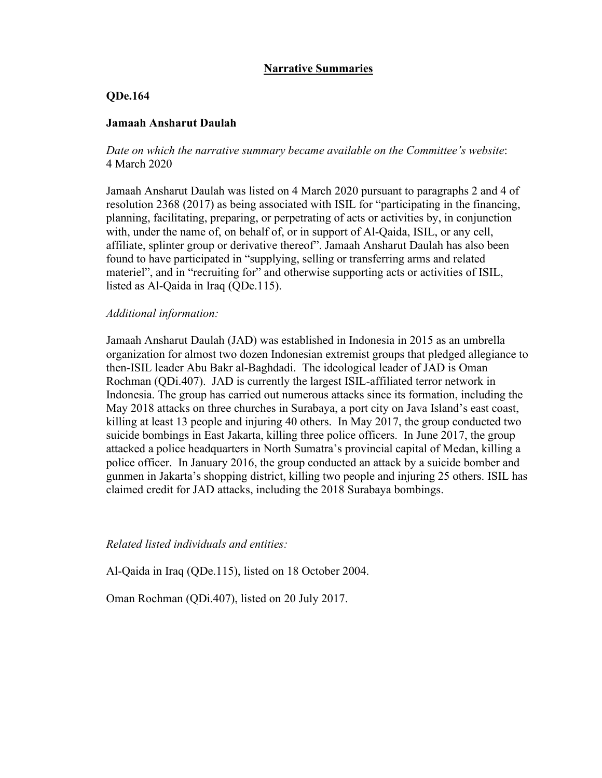# **Narrative Summaries**

## **QDe.164**

#### **Jamaah Ansharut Daulah**

*Date on which the narrative summary became available on the Committee's website*: 4 March 2020

Jamaah Ansharut Daulah was listed on 4 March 2020 pursuant to paragraphs 2 and 4 of resolution 2368 (2017) as being associated with ISIL for "participating in the financing, planning, facilitating, preparing, or perpetrating of acts or activities by, in conjunction with, under the name of, on behalf of, or in support of Al-Qaida, ISIL, or any cell, affiliate, splinter group or derivative thereof". Jamaah Ansharut Daulah has also been found to have participated in "supplying, selling or transferring arms and related materiel", and in "recruiting for" and otherwise supporting acts or activities of ISIL, listed as Al-Qaida in Iraq (QDe.115).

#### *Additional information:*

Jamaah Ansharut Daulah (JAD) was established in Indonesia in 2015 as an umbrella organization for almost two dozen Indonesian extremist groups that pledged allegiance to then-ISIL leader Abu Bakr al-Baghdadi. The ideological leader of JAD is Oman Rochman (QDi.407). JAD is currently the largest ISIL-affiliated terror network in Indonesia. The group has carried out numerous attacks since its formation, including the May 2018 attacks on three churches in Surabaya, a port city on Java Island's east coast, killing at least 13 people and injuring 40 others. In May 2017, the group conducted two suicide bombings in East Jakarta, killing three police officers. In June 2017, the group attacked a police headquarters in North Sumatra's provincial capital of Medan, killing a police officer. In January 2016, the group conducted an attack by a suicide bomber and gunmen in Jakarta's shopping district, killing two people and injuring 25 others. ISIL has claimed credit for JAD attacks, including the 2018 Surabaya bombings.

#### *Related listed individuals and entities:*

Al-Qaida in Iraq (QDe.115), listed on 18 October 2004.

Oman Rochman (QDi.407), listed on 20 July 2017.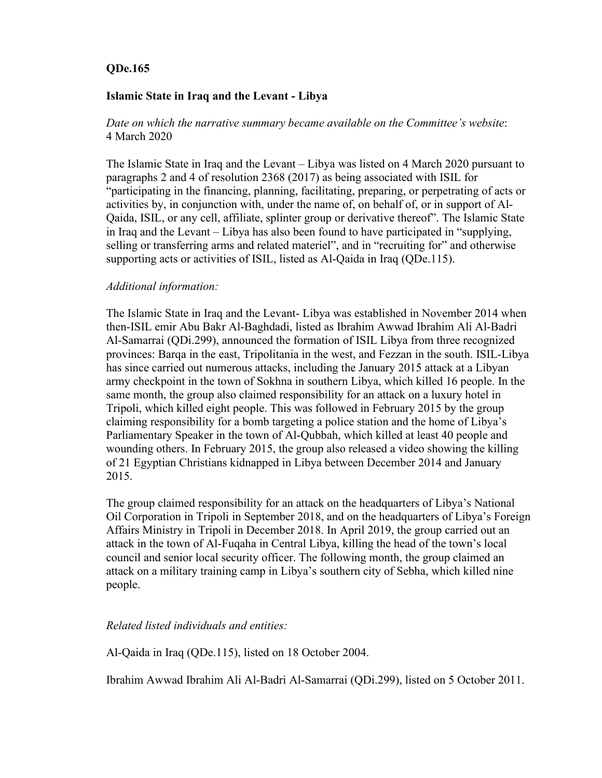# **QDe.165**

# **Islamic State in Iraq and the Levant - Libya**

*Date on which the narrative summary became available on the Committee's website*: 4 March 2020

The Islamic State in Iraq and the Levant – Libya was listed on 4 March 2020 pursuant to paragraphs 2 and 4 of resolution 2368 (2017) as being associated with ISIL for "participating in the financing, planning, facilitating, preparing, or perpetrating of acts or activities by, in conjunction with, under the name of, on behalf of, or in support of Al-Qaida, ISIL, or any cell, affiliate, splinter group or derivative thereof". The Islamic State in Iraq and the Levant – Libya has also been found to have participated in "supplying, selling or transferring arms and related materiel", and in "recruiting for" and otherwise supporting acts or activities of ISIL, listed as Al-Qaida in Iraq (QDe.115).

# *Additional information:*

The Islamic State in Iraq and the Levant- Libya was established in November 2014 when then-ISIL emir Abu Bakr Al-Baghdadi, listed as Ibrahim Awwad Ibrahim Ali Al-Badri Al-Samarrai (QDi.299), announced the formation of ISIL Libya from three recognized provinces: Barqa in the east, Tripolitania in the west, and Fezzan in the south. ISIL-Libya has since carried out numerous attacks, including the January 2015 attack at a Libyan army checkpoint in the town of Sokhna in southern Libya, which killed 16 people. In the same month, the group also claimed responsibility for an attack on a luxury hotel in Tripoli, which killed eight people. This was followed in February 2015 by the group claiming responsibility for a bomb targeting a police station and the home of Libya's Parliamentary Speaker in the town of Al-Qubbah, which killed at least 40 people and wounding others. In February 2015, the group also released a video showing the killing of 21 Egyptian Christians kidnapped in Libya between December 2014 and January 2015.

The group claimed responsibility for an attack on the headquarters of Libya's National Oil Corporation in Tripoli in September 2018, and on the headquarters of Libya's Foreign Affairs Ministry in Tripoli in December 2018. In April 2019, the group carried out an attack in the town of Al-Fuqaha in Central Libya, killing the head of the town's local council and senior local security officer. The following month, the group claimed an attack on a military training camp in Libya's southern city of Sebha, which killed nine people.

# *Related listed individuals and entities:*

Al-Qaida in Iraq (QDe.115), listed on 18 October 2004.

Ibrahim Awwad Ibrahim Ali Al-Badri Al-Samarrai (QDi.299), listed on 5 October 2011.